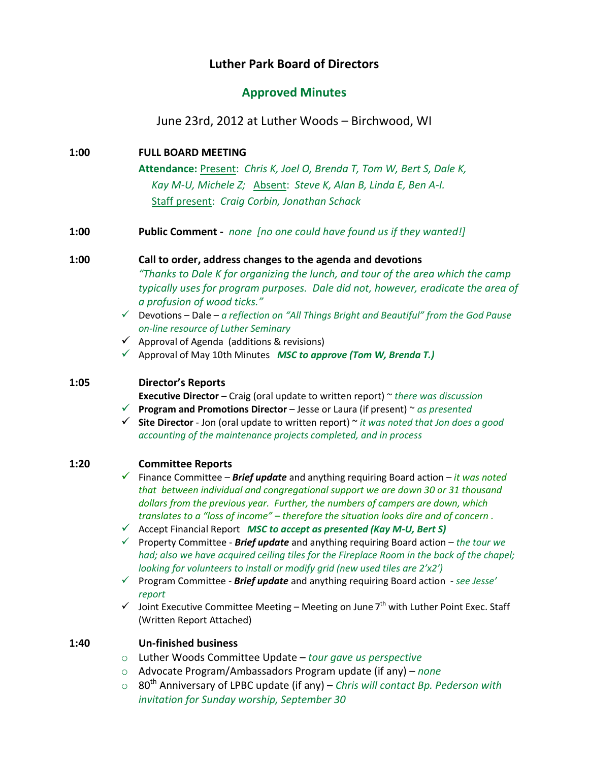# **Luther Park Board of Directors**

## **Approved Minutes**

June 23rd, 2012 at Luther Woods – Birchwood, WI

**1:00 FULL BOARD MEETING Attendance:** Present: *Chris K, Joel O, Brenda T, Tom W, Bert S, Dale K, Kay M-U, Michele Z;* Absent: *Steve K, Alan B, Linda E, Ben A-I.* Staff present: *Craig Corbin, Jonathan Schack*

**1:00 Public Comment -** *none [no one could have found us if they wanted!]*

## **1:00 Call to order, address changes to the agenda and devotions**

*"Thanks to Dale K for organizing the lunch, and tour of the area which the camp typically uses for program purposes. Dale did not, however, eradicate the area of a profusion of wood ticks."*

- Devotions Dale *a reflection on "All Things Bright and Beautiful" from the God Pause on-line resource of Luther Seminary*
- $\checkmark$  Approval of Agenda (additions & revisions)
- Approval of May 10th Minutes *MSC to approve (Tom W, Brenda T.)*

## **1:05 Director's Reports**

**Executive Director** – Craig (oral update to written report) ~ *there was discussion*

- **Program and Promotions Director** Jesse or Laura (if present) ~ *as presented*
- **Site Director** Jon (oral update to written report) ~ *it was noted that Jon does a good accounting of the maintenance projects completed, and in process*

#### **1:20 Committee Reports**

- Finance Committee *Brief update* and anything requiring Board action *– it was noted that between individual and congregational support we are down 30 or 31 thousand dollars from the previous year. Further, the numbers of campers are down, which translates to a "loss of income" – therefore the situation looks dire and of concern .*
- Accept Financial Report *MSC to accept as presented (Kay M-U, Bert S)*
- Property Committee *Brief update* and anything requiring Board action *the tour we had; also we have acquired ceiling tiles for the Fireplace Room in the back of the chapel; looking for volunteers to install or modify grid (new used tiles are 2'x2')*
- Program Committee *Brief update* and anything requiring Board action *see Jesse' report*
- $\checkmark$  Joint Executive Committee Meeting Meeting on June 7<sup>th</sup> with Luther Point Exec. Staff (Written Report Attached)

## **1:40 Un-finished business**

- o Luther Woods Committee Update *tour gave us perspective*
- o Advocate Program/Ambassadors Program update (if any) *none*
- o 80th Anniversary of LPBC update (if any) *Chris will contact Bp. Pederson with invitation for Sunday worship, September 30*